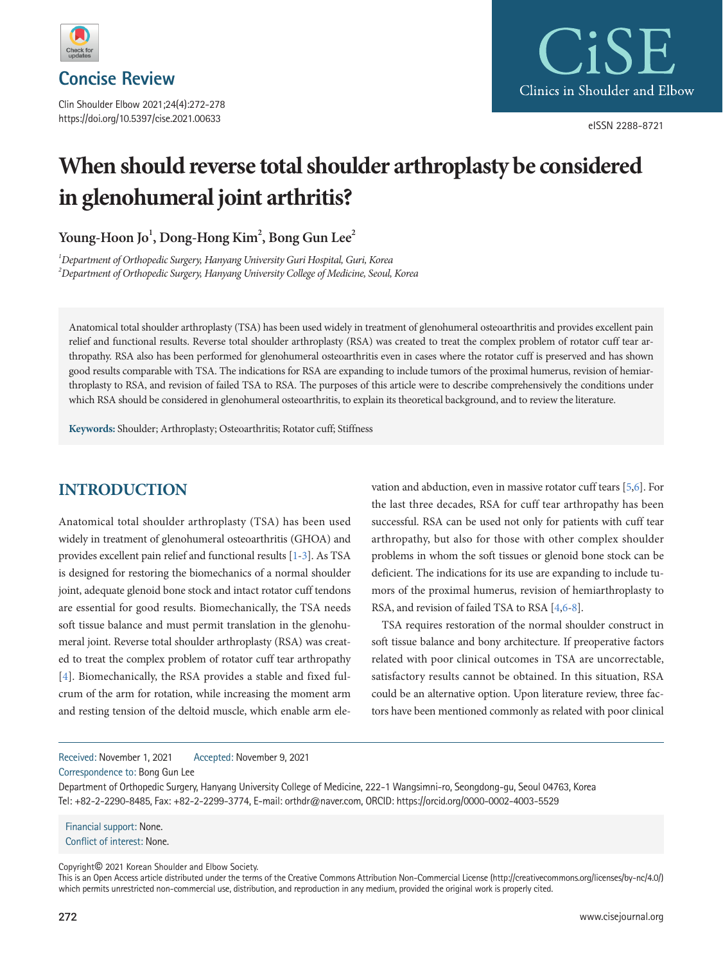

**Concise Review**

Clin Shoulder Elbow 2021;24(4):272-278 https://doi.org/10.5397/cise.2021.00633



eISSN 2288-8721

# **When should reverse total shoulder arthroplasty be considered in glenohumeral joint arthritis?**

**Young-Hoon Jo1 , Dong-Hong Kim2 , Bong Gun Lee2**

*1 Department of Orthopedic Surgery, Hanyang University Guri Hospital, Guri, Korea 2 Department of Orthopedic Surgery, Hanyang University College of Medicine, Seoul, Korea* 

Anatomical total shoulder arthroplasty (TSA) has been used widely in treatment of glenohumeral osteoarthritis and provides excellent pain relief and functional results. Reverse total shoulder arthroplasty (RSA) was created to treat the complex problem of rotator cuff tear arthropathy. RSA also has been performed for glenohumeral osteoarthritis even in cases where the rotator cuff is preserved and has shown good results comparable with TSA. The indications for RSA are expanding to include tumors of the proximal humerus, revision of hemiarthroplasty to RSA, and revision of failed TSA to RSA. The purposes of this article were to describe comprehensively the conditions under which RSA should be considered in glenohumeral osteoarthritis, to explain its theoretical background, and to review the literature.

**Keywords:** Shoulder; Arthroplasty; Osteoarthritis; Rotator cuff; Stiffness

# **INTRODUCTION**

Anatomical total shoulder arthroplasty (TSA) has been used widely in treatment of glenohumeral osteoarthritis (GHOA) and provides excellent pain relief and functional results [\[1](#page-4-0)[-3](#page-4-1)]. As TSA is designed for restoring the biomechanics of a normal shoulder joint, adequate glenoid bone stock and intact rotator cuff tendons are essential for good results. Biomechanically, the TSA needs soft tissue balance and must permit translation in the glenohumeral joint. Reverse total shoulder arthroplasty (RSA) was created to treat the complex problem of rotator cuff tear arthropathy [\[4](#page-4-2)]. Biomechanically, the RSA provides a stable and fixed fulcrum of the arm for rotation, while increasing the moment arm and resting tension of the deltoid muscle, which enable arm elevation and abduction, even in massive rotator cuff tears [\[5](#page-4-3)[,6\]](#page-4-1). For the last three decades, RSA for cuff tear arthropathy has been successful. RSA can be used not only for patients with cuff tear arthropathy, but also for those with other complex shoulder problems in whom the soft tissues or glenoid bone stock can be deficient. The indications for its use are expanding to include tumors of the proximal humerus, revision of hemiarthroplasty to RSA, and revision of failed TSA to RSA [\[4](#page-4-2)[,6](#page-4-1)[-8\]](#page-4-4).

TSA requires restoration of the normal shoulder construct in soft tissue balance and bony architecture. If preoperative factors related with poor clinical outcomes in TSA are uncorrectable, satisfactory results cannot be obtained. In this situation, RSA could be an alternative option. Upon literature review, three factors have been mentioned commonly as related with poor clinical

Received: November 1, 2021 Accepted: November 9, 2021

Correspondence to: Bong Gun Lee

Department of Orthopedic Surgery, Hanyang University College of Medicine, 222-1 Wangsimni-ro, Seongdong-gu, Seoul 04763, Korea Tel: +82-2-2290-8485, Fax: +82-2-2299-3774, E-mail: orthdr@naver.com, ORCID: https://orcid.org/0000-0002-4003-5529

Financial support: None. Conflict of interest: None.

Copyright© 2021 Korean Shoulder and Elbow Society.

This is an Open Access article distributed under the terms of the Creative Commons Attribution Non-Commercial License (http://creativecommons.org/licenses/by-nc/4.0/) which permits unrestricted non-commercial use, distribution, and reproduction in any medium, provided the original work is properly cited.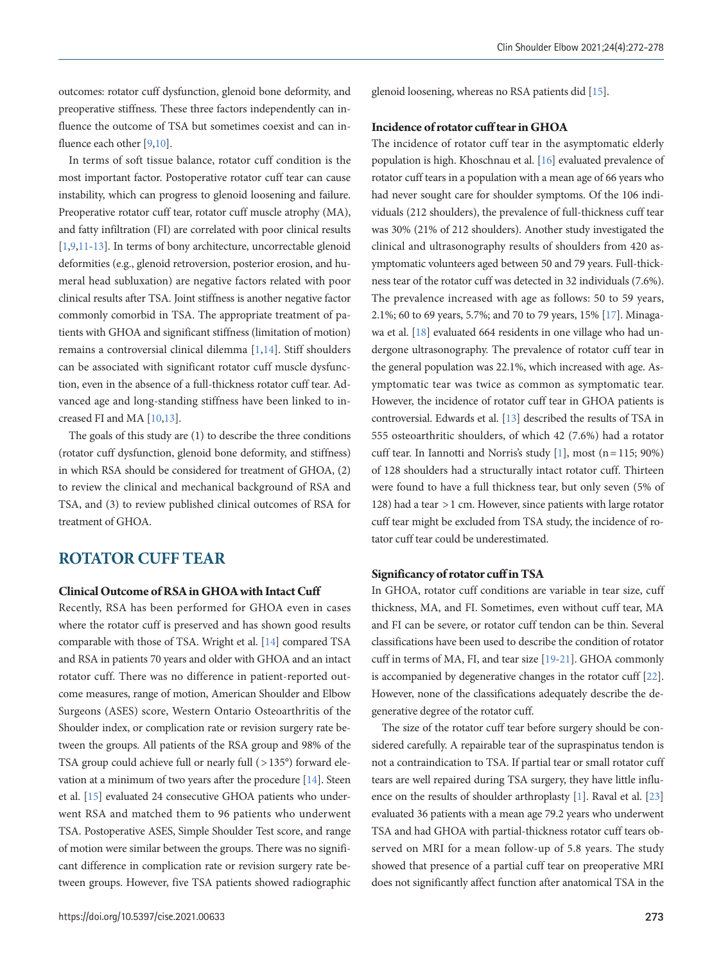outcomes: rotator cuff dysfunction, glenoid bone deformity, and preoperative stiffness. These three factors independently can influence the outcome of TSA but sometimes coexist and can in-fluence each other [\[9](#page-4-3)[,10\]](#page-4-5).

In terms of soft tissue balance, rotator cuff condition is the most important factor. Postoperative rotator cuff tear can cause instability, which can progress to glenoid loosening and failure. Preoperative rotator cuff tear, rotator cuff muscle atrophy (MA), and fatty infiltration (FI) are correlated with poor clinical results [\[1,](#page-4-0)[9](#page-4-3)[,11](#page-4-6)[-13\]](#page-4-7). In terms of bony architecture, uncorrectable glenoid deformities (e.g., glenoid retroversion, posterior erosion, and humeral head subluxation) are negative factors related with poor clinical results after TSA. Joint stiffness is another negative factor commonly comorbid in TSA. The appropriate treatment of patients with GHOA and significant stiffness (limitation of motion) remains a controversial clinical dilemma [1[,14\]](#page-4-8). Stiff shoulders can be associated with significant rotator cuff muscle dysfunction, even in the absence of a full-thickness rotator cuff tear. Advanced age and long-standing stiffness have been linked to increased FI and MA [10,13].

The goals of this study are (1) to describe the three conditions (rotator cuff dysfunction, glenoid bone deformity, and stiffness) in which RSA should be considered for treatment of GHOA, (2) to review the clinical and mechanical background of RSA and TSA, and (3) to review published clinical outcomes of RSA for treatment of GHOA.

# **ROTATOR CUFF TEAR**

## **Clinical Outcome of RSA in GHOA with Intact Cuff**

Recently, RSA has been performed for GHOA even in cases where the rotator cuff is preserved and has shown good results comparable with those of TSA. Wright et al. [\[14](#page-4-8)] compared TSA and RSA in patients 70 years and older with GHOA and an intact rotator cuff. There was no difference in patient-reported outcome measures, range of motion, American Shoulder and Elbow Surgeons (ASES) score, Western Ontario Osteoarthritis of the Shoulder index, or complication rate or revision surgery rate between the groups. All patients of the RSA group and 98% of the TSA group could achieve full or nearly full (>135°) forward elevation at a minimum of two years after the procedure [\[14](#page-4-8)]. Steen et al. [\[15](#page-4-9)] evaluated 24 consecutive GHOA patients who underwent RSA and matched them to 96 patients who underwent TSA. Postoperative ASES, Simple Shoulder Test score, and range of motion were similar between the groups. There was no significant difference in complication rate or revision surgery rate between groups. However, five TSA patients showed radiographic

glenoid loosening, whereas no RSA patients did [\[15\]](#page-4-9).

### **Incidence of rotator cuff tear in GHOA**

The incidence of rotator cuff tear in the asymptomatic elderly population is high. Khoschnau et al. [\[16\]](#page-5-0) evaluated prevalence of rotator cuff tears in a population with a mean age of 66 years who had never sought care for shoulder symptoms. Of the 106 individuals (212 shoulders), the prevalence of full-thickness cuff tear was 30% (21% of 212 shoulders). Another study investigated the clinical and ultrasonography results of shoulders from 420 asymptomatic volunteers aged between 50 and 79 years. Full-thickness tear of the rotator cuff was detected in 32 individuals (7.6%). The prevalence increased with age as follows: 50 to 59 years, 2.1%; 60 to 69 years, 5.7%; and 70 to 79 years, 15% [\[17\]](#page-5-1). Minagawa et al. [\[18](#page-5-2)] evaluated 664 residents in one village who had undergone ultrasonography. The prevalence of rotator cuff tear in the general population was 22.1%, which increased with age. Asymptomatic tear was twice as common as symptomatic tear. However, the incidence of rotator cuff tear in GHOA patients is controversial. Edwards et al. [13] described the results of TSA in 555 osteoarthritic shoulders, of which 42 (7.6%) had a rotator cuff tear. In Iannotti and Norris's study [1], most (n = 115; 90%) of 128 shoulders had a structurally intact rotator cuff. Thirteen were found to have a full thickness tear, but only seven (5% of 128) had a tear > 1 cm. However, since patients with large rotator cuff tear might be excluded from TSA study, the incidence of rotator cuff tear could be underestimated.

#### **Significancy of rotator cuff in TSA**

In GHOA, rotator cuff conditions are variable in tear size, cuff thickness, MA, and FI. Sometimes, even without cuff tear, MA and FI can be severe, or rotator cuff tendon can be thin. Several classifications have been used to describe the condition of rotator cuff in terms of MA, FI, and tear size [\[19](#page-5-3)[-21](#page-5-4)]. GHOA commonly is accompanied by degenerative changes in the rotator cuff [[22\]](#page-5-5). However, none of the classifications adequately describe the degenerative degree of the rotator cuff.

The size of the rotator cuff tear before surgery should be considered carefully. A repairable tear of the supraspinatus tendon is not a contraindication to TSA. If partial tear or small rotator cuff tears are well repaired during TSA surgery, they have little influence on the results of shoulder arthroplasty [1]. Raval et al. [\[23\]](#page-5-6) evaluated 36 patients with a mean age 79.2 years who underwent TSA and had GHOA with partial-thickness rotator cuff tears observed on MRI for a mean follow-up of 5.8 years. The study showed that presence of a partial cuff tear on preoperative MRI does not significantly affect function after anatomical TSA in the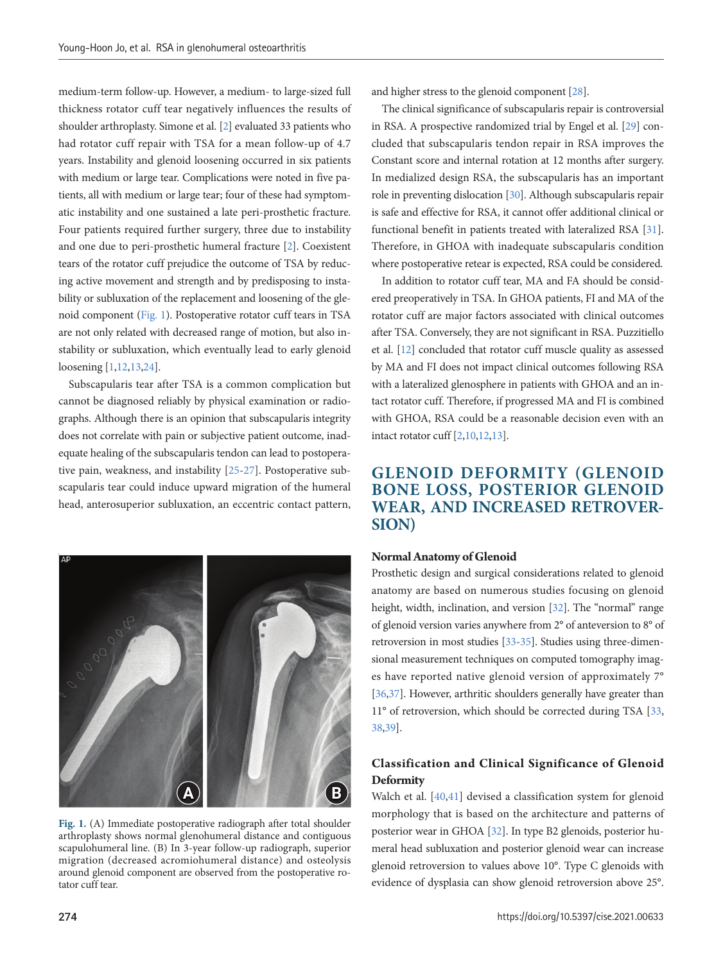medium-term follow-up. However, a medium- to large-sized full thickness rotator cuff tear negatively influences the results of shoulder arthroplasty. Simone et al. [[2](#page-4-1)] evaluated 33 patients who had rotator cuff repair with TSA for a mean follow-up of 4.7 years. Instability and glenoid loosening occurred in six patients with medium or large tear. Complications were noted in five patients, all with medium or large tear; four of these had symptomatic instability and one sustained a late peri-prosthetic fracture. Four patients required further surgery, three due to instability and one due to peri-prosthetic humeral fracture [\[2](#page-4-10)]. Coexistent tears of the rotator cuff prejudice the outcome of TSA by reducing active movement and strength and by predisposing to instability or subluxation of the replacement and loosening of the glenoid component [\(Fig. 1\)](#page-2-0). Postoperative rotator cuff tears in TSA are not only related with decreased range of motion, but also instability or subluxation, which eventually lead to early glenoid loosening [[1,12](#page-4-11),1[3,24](#page-5-7)].

Subscapularis tear after TSA is a common complication but cannot be diagnosed reliably by physical examination or radiographs. Although there is an opinion that subscapularis integrity does not correlate with pain or subjective patient outcome, inadequate healing of the subscapularis tendon can lead to postoperative pain, weakness, and instability [\[25](#page-5-8)-[27\]](#page-5-9). Postoperative subscapularis tear could induce upward migration of the humeral head, anterosuperior subluxation, an eccentric contact pattern,

<span id="page-2-0"></span>

**Fig. 1.** (A) Immediate postoperative radiograph after total shoulder arthroplasty shows normal glenohumeral distance and contiguous scapulohumeral line. (B) In 3-year follow-up radiograph, superior migration (decreased acromiohumeral distance) and osteolysis around glenoid component are observed from the postoperative rotator cuff tear.

and higher stress to the glenoid component [\[28](#page-5-10)].

The clinical significance of subscapularis repair is controversial in RSA. A prospective randomized trial by Engel et al. [\[29](#page-5-11)] concluded that subscapularis tendon repair in RSA improves the Constant score and internal rotation at 12 months after surgery. In medialized design RSA, the subscapularis has an important role in preventing dislocation [\[30\]](#page-5-12). Although subscapularis repair is safe and effective for RSA, it cannot offer additional clinical or functional benefit in patients treated with lateralized RSA [\[31\]](#page-5-13). Therefore, in GHOA with inadequate subscapularis condition where postoperative retear is expected, RSA could be considered.

In addition to rotator cuff tear, MA and FA should be considered preoperatively in TSA. In GHOA patients, FI and MA of the rotator cuff are major factors associated with clinical outcomes after TSA. Conversely, they are not significant in RSA. Puzzitiello et al. [\[12](#page-4-11)] concluded that rotator cuff muscle quality as assessed by MA and FI does not impact clinical outcomes following RSA with a lateralized glenosphere in patients with GHOA and an intact rotator cuff. Therefore, if progressed MA and FI is combined with GHOA, RSA could be a reasonable decision even with an intact rotator cuff [\[2](#page-4-10),1[0,12](#page-4-11),13].

# **GLENOID DEFORMITY (GLENOID BONE LOSS, POSTERIOR GLENOID WEAR, AND INCREASED RETROVER-SION)**

#### **Normal Anatomy of Glenoid**

Prosthetic design and surgical considerations related to glenoid anatomy are based on numerous studies focusing on glenoid height, width, inclination, and version [\[32](#page-5-11)]. The "normal" range of glenoid version varies anywhere from 2° of anteversion to 8° of retroversion in most studies [\[33](#page-5-14)[-35\]](#page-5-15). Studies using three-dimensional measurement techniques on computed tomography images have reported native glenoid version of approximately 7° [\[36](#page-5-16)[,37](#page-5-17)]. However, arthritic shoulders generally have greater than 11° of retroversion, which should be corrected during TSA [\[33](#page-5-14)[,](#page-5-18) [38](#page-5-18)[,39](#page-5-19)].

## **Classification and Clinical Significance of Glenoid Deformity**

Walch et al. [\[40](#page-6-0)[,41](#page-5-20)] devised a classification system for glenoid morphology that is based on the architecture and patterns of posterior wear in GHOA [32]. In type B2 glenoids, posterior humeral head subluxation and posterior glenoid wear can increase glenoid retroversion to values above 10°. Type C glenoids with evidence of dysplasia can show glenoid retroversion above 25°.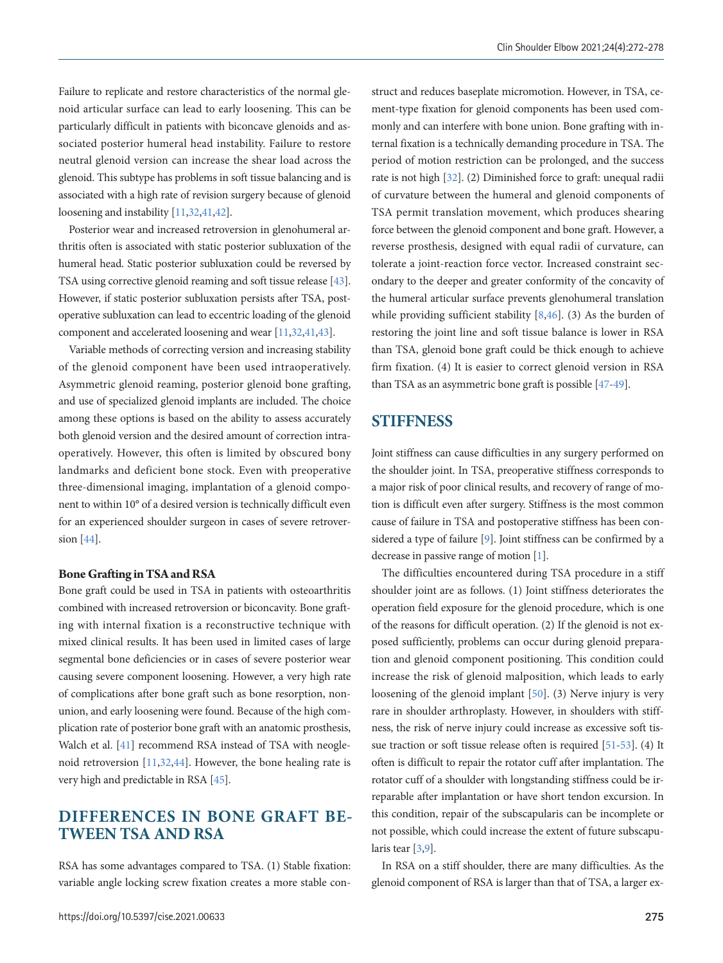Failure to replicate and restore characteristics of the normal glenoid articular surface can lead to early loosening. This can be particularly difficult in patients with biconcave glenoids and associated posterior humeral head instability. Failure to restore neutral glenoid version can increase the shear load across the glenoid. This subtype has problems in soft tissue balancing and is associated with a high rate of revision surgery because of glenoid loosening and instability [11,32[,41](#page-5-20)[,42](#page-6-1)].

Posterior wear and increased retroversion in glenohumeral arthritis often is associated with static posterior subluxation of the humeral head. Static posterior subluxation could be reversed by TSA using corrective glenoid reaming and soft tissue release [\[43\]](#page-5-19). However, if static posterior subluxation persists after TSA, postoperative subluxation can lead to eccentric loading of the glenoid component and accelerated loosening and wear [11,32[,41](#page-5-20)[,43](#page-5-19)].

Variable methods of correcting version and increasing stability of the glenoid component have been used intraoperatively. Asymmetric glenoid reaming, posterior glenoid bone grafting, and use of specialized glenoid implants are included. The choice among these options is based on the ability to assess accurately both glenoid version and the desired amount of correction intraoperatively. However, this often is limited by obscured bony landmarks and deficient bone stock. Even with preoperative three-dimensional imaging, implantation of a glenoid component to within 10° of a desired version is technically difficult even for an experienced shoulder surgeon in cases of severe retroversion [\[44\]](#page-6-0).

## **Bone Grafting in TSA and RSA**

Bone graft could be used in TSA in patients with osteoarthritis combined with increased retroversion or biconcavity. Bone grafting with internal fixation is a reconstructive technique with mixed clinical results. It has been used in limited cases of large segmental bone deficiencies or in cases of severe posterior wear causing severe component loosening. However, a very high rate of complications after bone graft such as bone resorption, nonunion, and early loosening were found. Because of the high complication rate of posterior bone graft with an anatomic prosthesis, Walch et al. [\[41\]](#page-5-20) recommend RSA instead of TSA with neoglenoid retroversion [11,32[,44](#page-6-0)]. However, the bone healing rate is very high and predictable in RSA [\[45](#page-6-2)].

# **DIFFERENCES IN BONE GRAFT BE-TWEEN TSA AND RSA**

RSA has some advantages compared to TSA. (1) Stable fixation: variable angle locking screw fixation creates a more stable construct and reduces baseplate micromotion. However, in TSA, cement-type fixation for glenoid components has been used commonly and can interfere with bone union. Bone grafting with internal fixation is a technically demanding procedure in TSA. The period of motion restriction can be prolonged, and the success rate is not high [32]. (2) Diminished force to graft: unequal radii of curvature between the humeral and glenoid components of TSA permit translation movement, which produces shearing force between the glenoid component and bone graft. However, a reverse prosthesis, designed with equal radii of curvature, can tolerate a joint-reaction force vector. Increased constraint secondary to the deeper and greater conformity of the concavity of the humeral articular surface prevents glenohumeral translation while providing sufficient stability [8[,46](#page-6-3)]. (3) As the burden of restoring the joint line and soft tissue balance is lower in RSA than TSA, glenoid bone graft could be thick enough to achieve firm fixation. (4) It is easier to correct glenoid version in RSA than TSA as an asymmetric bone graft is possible [\[47](#page-6-4)[-49](#page-6-5)].

## **STIFFNESS**

Joint stiffness can cause difficulties in any surgery performed on the shoulder joint. In TSA, preoperative stiffness corresponds to a major risk of poor clinical results, and recovery of range of motion is difficult even after surgery. Stiffness is the most common cause of failure in TSA and postoperative stiffness has been considered a type of failure [9]. Joint stiffness can be confirmed by a decrease in passive range of motion [1].

The difficulties encountered during TSA procedure in a stiff shoulder joint are as follows. (1) Joint stiffness deteriorates the operation field exposure for the glenoid procedure, which is one of the reasons for difficult operation. (2) If the glenoid is not exposed sufficiently, problems can occur during glenoid preparation and glenoid component positioning. This condition could increase the risk of glenoid malposition, which leads to early loosening of the glenoid implant [\[50](#page-6-6)]. (3) Nerve injury is very rare in shoulder arthroplasty. However, in shoulders with stiffness, the risk of nerve injury could increase as excessive soft tissue traction or soft tissue release often is required [\[51](#page-6-7)[-53](#page-6-8)]. (4) It often is difficult to repair the rotator cuff after implantation. The rotator cuff of a shoulder with longstanding stiffness could be irreparable after implantation or have short tendon excursion. In this condition, repair of the subscapularis can be incomplete or not possible, which could increase the extent of future subscapularis tear [3,9].

In RSA on a stiff shoulder, there are many difficulties. As the glenoid component of RSA is larger than that of TSA, a larger ex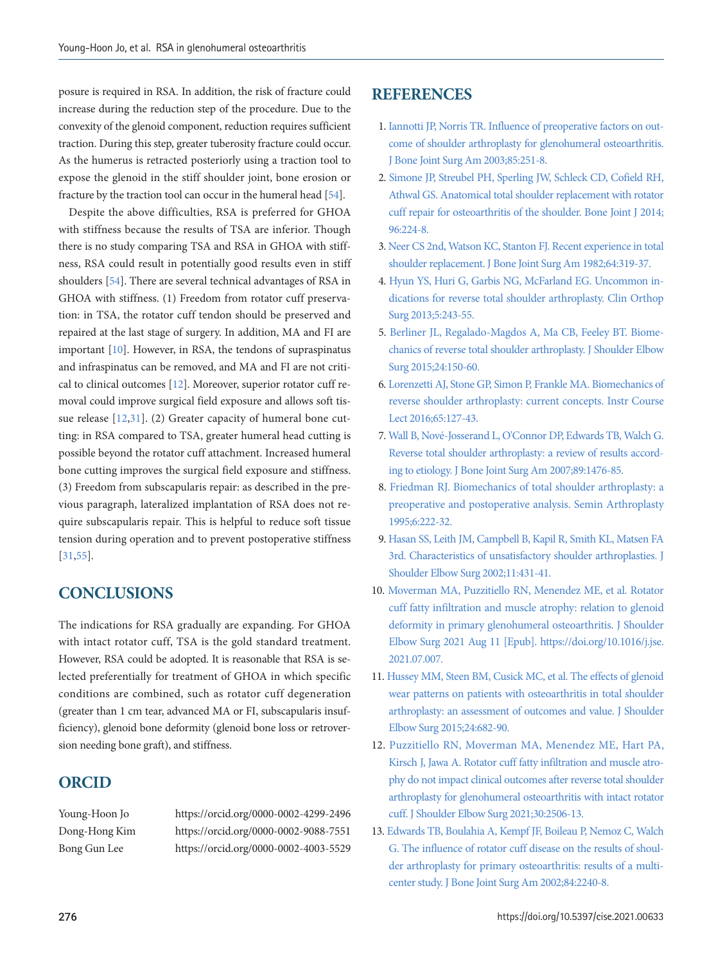posure is required in RSA. In addition, the risk of fracture could increase during the reduction step of the procedure. Due to the convexity of the glenoid component, reduction requires sufficient traction. During this step, greater tuberosity fracture could occur. As the humerus is retracted posteriorly using a traction tool to expose the glenoid in the stiff shoulder joint, bone erosion or fracture by the traction tool can occur in the humeral head [\[54](#page-6-7)].

Despite the above difficulties, RSA is preferred for GHOA with stiffness because the results of TSA are inferior. Though there is no study comparing TSA and RSA in GHOA with stiffness, RSA could result in potentially good results even in stiff shoulders [\[54](#page-6-7)]. There are several technical advantages of RSA in GHOA with stiffness. (1) Freedom from rotator cuff preservation: in TSA, the rotator cuff tendon should be preserved and repaired at the last stage of surgery. In addition, MA and FI are important [10]. However, in RSA, the tendons of supraspinatus and infraspinatus can be removed, and MA and FI are not critical to clinical outcomes [12]. Moreover, superior rotator cuff removal could improve surgical field exposure and allows soft tissue release [12,31]. (2) Greater capacity of humeral bone cutting: in RSA compared to TSA, greater humeral head cutting is possible beyond the rotator cuff attachment. Increased humeral bone cutting improves the surgical field exposure and stiffness. (3) Freedom from subscapularis repair: as described in the previous paragraph, lateralized implantation of RSA does not require subscapularis repair. This is helpful to reduce soft tissue tension during operation and to prevent postoperative stiffness [31,[55\]](#page-6-9).

# **CONCLUSIONS**

The indications for RSA gradually are expanding. For GHOA with intact rotator cuff, TSA is the gold standard treatment. However, RSA could be adopted. It is reasonable that RSA is selected preferentially for treatment of GHOA in which specific conditions are combined, such as rotator cuff degeneration (greater than 1 cm tear, advanced MA or FI, subscapularis insufficiency), glenoid bone deformity (glenoid bone loss or retroversion needing bone graft), and stiffness.

# **ORCID**

Young-Hoon Jo https://orcid.org/0000-0002-4299-2496 Dong-Hong Kim https://orcid.org/0000-0002-9088-7551 Bong Gun Lee https://orcid.org/0000-0002-4003-5529

# <span id="page-4-2"></span>**REFERENCES**

- <span id="page-4-10"></span><span id="page-4-0"></span>1. Iannotti JP, Norris TR. Influence of preoperative factors on outcome of shoulder arthroplasty for glenohumeral osteoarthritis. J Bone Joint Surg Am 2003;85:251-8.
- <span id="page-4-1"></span>2. Simone J[P, Streubel PH, Sperling JW, Schleck CD, Cofield RH,](https://doi.org/10.1302/0301-620x.96b.32890)  [Athwal GS. Anatomical total shoulder replacement with rotator](https://doi.org/10.1302/0301-620x.96b.32890)  [cuff repair for osteoarthritis of the shoulder. Bone Joint J 2014;](https://doi.org/10.1302/0301-620x.96b.32890) [96:224-8.](https://doi.org/10.1302/0301-620x.96b.32890)
- 3. [Neer CS 2nd, Watson KC, Stanton FJ. Recent experience in total](https://doi.org/10.2106/00004623-198264030-00001)  [shoulder replacement. J Bone Joint Surg Am 1982;64:319-37.](https://doi.org/10.2106/00004623-198264030-00001)
- <span id="page-4-4"></span>4. Hyun YS, Huri G, Garbis NG, McFarland EG. Uncommon indications for [reverse total shoulder arthroplasty. Clin Orthop](https://doi.org/10.4055/cios.2013.5.4.243)  [Surg 2013;5:243-55.](https://doi.org/10.4055/cios.2013.5.4.243)
- <span id="page-4-3"></span>5. Berliner JL, Regalado-Magdos A, Ma CB, Feeley [BT. Biome](https://doi.org/10.1016/j.jse.2014.08.003)[chanics of reverse total shoulder arthroplasty. J Shoulder Elbow](https://doi.org/10.1016/j.jse.2014.08.003)  [Surg 2015;24:150-60.](https://doi.org/10.1016/j.jse.2014.08.003)
- <span id="page-4-5"></span>6. Lorenzetti AJ, Stone G[P, Simon P, Frankle MA. Biomechanics of](https://www.ncbi.nlm.nih.gov/pubmed/27049186)  [reverse shoulder arthroplasty: current concepts. Instr Course](https://www.ncbi.nlm.nih.gov/pubmed/27049186)  [Lect 2016;65:127-43.](https://www.ncbi.nlm.nih.gov/pubmed/27049186)
- 7. [Wall B, Nové-Josserand L, O'Connor DP, Edwards TB, Walch G.](https://www.ncbi.nlm.nih.gov/pubmed/17606786)  [Reverse total shoulder arthroplasty: a review of results accord](https://www.ncbi.nlm.nih.gov/pubmed/17606786)[ing to etiology. J Bone Joint Surg Am 2007;89:1476-85.](https://www.ncbi.nlm.nih.gov/pubmed/17606786)
- <span id="page-4-6"></span>8. Friedman RJ. Biomechanics of total shoulder arthroplasty: a preope[rative and postoperative analysis. Semin Arthroplasty](https://www.ncbi.nlm.nih.gov/pubmed/10163528)  [1995;6:222-32.](https://www.ncbi.nlm.nih.gov/pubmed/10163528)
- <span id="page-4-11"></span>9. Hasan SS, Leith JM, Campbell B, Kapil R, Smith KL, Matsen FA 3rd. Cha[racteristics of unsatisfactory shoulder arthroplasties. J](https://doi.org/10.1067/mse.2002.125806)  [Shoulder Elbow Surg 2002;11:431-41.](https://doi.org/10.1067/mse.2002.125806)
- 10. [Moverman MA, Puzzitiello RN, Menendez ME, et al. Rotator](https://doi.org/10.1016/j.jse.2021.07.007)  [cuff fatty infiltration and muscle atrophy: relation to glenoid](https://doi.org/10.1016/j.jse.2021.07.007)  [deformity in primary glenohumeral osteoarthritis. J Shoulder](https://doi.org/10.1016/j.jse.2021.07.007)  [Elbow Surg 2021 Aug 11 \[Epub\]. https://doi.org/10.1016/j.jse.](https://doi.org/10.1016/j.jse.2021.07.007) [2021.07.007.](https://doi.org/10.1016/j.jse.2021.07.007)
- <span id="page-4-8"></span>11. Hussey MM, Steen BM, Cusick MC, et al. The effects of glenoid wear patterns on patients with osteoarthritis in total shoulder arthroplasty: an assessment of outcomes and value. J Shoulder Elbow Surg 2015;24:682-90.
- 12. [Puzzitiello RN, Moverman MA, Menendez ME, Hart PA,](https://doi.org/10.1016/j.jse.2021.03.135)  [Kirsch J, Jawa A. Rotator cuff fatty infiltration and muscle atro](https://doi.org/10.1016/j.jse.2021.03.135)[phy do not impact clinical outcomes after reverse total shoulder](https://doi.org/10.1016/j.jse.2021.03.135)  [arthroplasty for glenohumeral osteoarthritis with intact](https://doi.org/10.1016/j.jse.2021.03.135) rotator cuff. J Shoulder Elbow Surg 2021;30:2506-13.
- <span id="page-4-9"></span><span id="page-4-7"></span>13. [Edwards TB, Boulahia A, Kempf JF, Boileau P, Nemoz C, Walch](https://www.ncbi.nlm.nih.gov/pubmed/12473715)  [G. The influence of rotator cuff disease on the results of shoul](https://www.ncbi.nlm.nih.gov/pubmed/12473715)[der arthroplasty for primary osteoarthritis: results of a multi](https://www.ncbi.nlm.nih.gov/pubmed/12473715)[center study. J Bone Joint Surg Am 2002;84:2240-8.](https://www.ncbi.nlm.nih.gov/pubmed/12473715)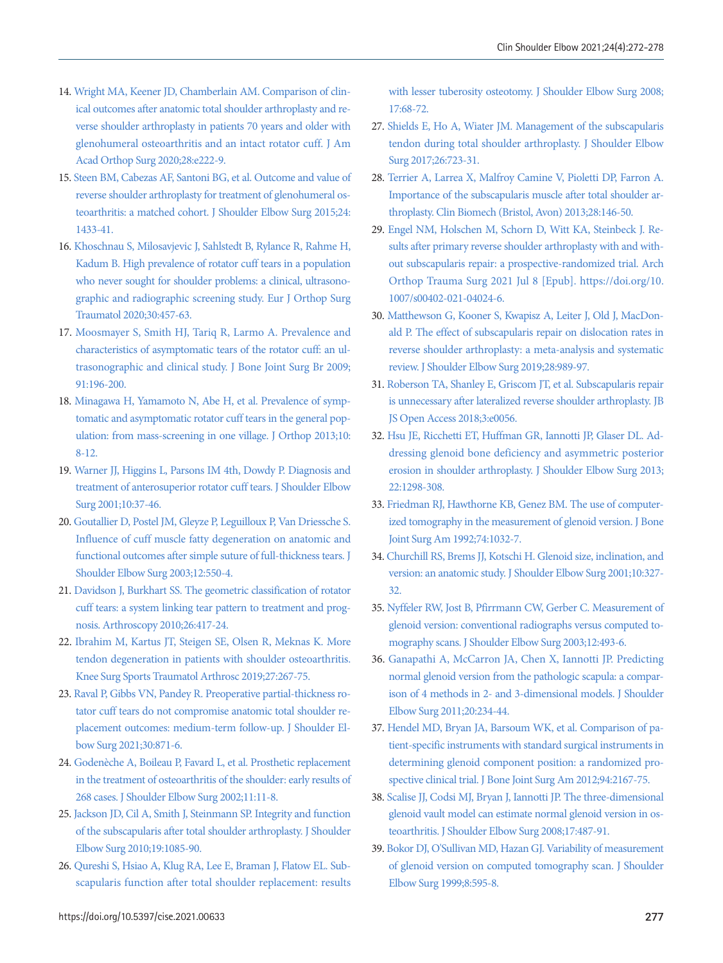- 14. [Wright MA, Keener JD, Chamberlain AM. Comparison of clin](https://doi.org/10.5435/jaaos-d-19-00166)[ical outcomes after anatomic total shoulder arthroplasty and re](https://doi.org/10.5435/jaaos-d-19-00166)[verse shoulder arthroplasty in patients 70 years and older with](https://doi.org/10.5435/jaaos-d-19-00166)  [glenohumeral osteoarthritis and an intact rotator](https://doi.org/10.5435/jaaos-d-19-00166) cuff. J Am Acad Orthop Surg 2020;28:e222-9.
- 15. [Steen BM, Cabezas AF, Santoni BG, et al. Outcome and value of](https://doi.org/10.1016/j.jse.2015.01.005)  [reverse shoulder arthroplasty for treatment of glenohumeral os](https://doi.org/10.1016/j.jse.2015.01.005)[teoarthritis: a matched cohort. J Shoulder Elbow Surg 2015;24:](https://doi.org/10.1016/j.jse.2015.01.005) [1433-41.](https://doi.org/10.1016/j.jse.2015.01.005)
- <span id="page-5-0"></span>1[6. Khoschnau S, Milosavjevic J, Sahlstedt B, Rylance R, Rahme H,](https://doi.org/10.1007/s00590-019-02593-2)  [Kadum B. High prevalence of rotator cuff tears in a population](https://doi.org/10.1007/s00590-019-02593-2)  [who never sought for shoulder problems: a clinical, ultrasono](https://doi.org/10.1007/s00590-019-02593-2)[graphic and radiographic screening study. Eur](https://doi.org/10.1007/s00590-019-02593-2) J Orthop Surg Traumatol 2020;30:457-63.
- <span id="page-5-1"></span>1[7. Moosmayer S, Smith HJ, Tariq R, Larmo A. Prevalence and](https://www.ncbi.nlm.nih.gov/pubmed/19190053)  [characteristics of asymptomatic tears of the rotator cuff: an ul](https://www.ncbi.nlm.nih.gov/pubmed/19190053)[trasonographic and clinical study. J Bone Joint Surg Br 2009;](https://www.ncbi.nlm.nih.gov/pubmed/19190053) [91:196-200](https://www.ncbi.nlm.nih.gov/pubmed/19190053).
- <span id="page-5-2"></span>1[8. Minagawa H, Yamamoto N, Abe H, et al. Prevalence of symp](https://doi.org/10.1016/j.jor.2013.01.008)[tomatic and asymptomatic rotator cuff tears in the general pop](https://doi.org/10.1016/j.jor.2013.01.008)[ulation: from mass-screening in one village. J Orthop 2013;10:](https://doi.org/10.1016/j.jor.2013.01.008) [8-12](https://doi.org/10.1016/j.jor.2013.01.008).
- <span id="page-5-3"></span>1[9. Warner JJ, Higgins L, Parsons IM 4th, Dowdy P. Diagnosis and](https://doi.org/10.1067/mse.2001.112022)  [treatment of anterosuperior rotator cuff tears. J Shoulder Elbow](https://doi.org/10.1067/mse.2001.112022)  [Surg 2001;10:37-46.](https://doi.org/10.1067/mse.2001.112022)
- 20. [Goutallier D, Postel JM, Gleyze P, Leguilloux P, Van Driessche S.](https://doi.org/10.1016/s1058-2746(03)00211-8)  [Influence of cuff muscle fatty degeneration on anatomic and](https://doi.org/10.1016/s1058-2746(03)00211-8)  [functional outcomes after simple suture of full-thickness tears. J](https://doi.org/10.1016/s1058-2746(03)00211-8)  [Shoulder Elbow Surg 2003;12:550-4.](https://doi.org/10.1016/s1058-2746(03)00211-8)
- <span id="page-5-4"></span>2[1. Davidson J, Burkhart SS. The geometric classification of rotator](https://doi.org/10.1016/j.arthro.2009.07.009)  [cuff tears: a system linking tear pattern to treatment and prog](https://doi.org/10.1016/j.arthro.2009.07.009)[nosis. Arthroscopy 2010;26:417-24](https://doi.org/10.1016/j.arthro.2009.07.009).
- <span id="page-5-5"></span>2[2. Ibrahim M, Kartus JT, Steigen SE, Olsen R, Meknas K. More](https://doi.org/10.1007/s00167-018-5186-x)  [tendon degeneration in patients with shoulder osteoarthritis.](https://doi.org/10.1007/s00167-018-5186-x)  [Knee Surg Sports Traumatol Arthrosc 2019;27:267-75.](https://doi.org/10.1007/s00167-018-5186-x)
- <span id="page-5-6"></span>2[3. Raval P, Gibbs VN, Pandey R. Preoperative partial-thickness ro](https://www.ncbi.nlm.nih.gov/pubmed/32777477)[tator cuff tears do not compromise anatomic total shoulder re](https://www.ncbi.nlm.nih.gov/pubmed/32777477)[placement outcomes: medium-term follow-up. J Shoulder El](https://www.ncbi.nlm.nih.gov/pubmed/32777477)[bow Surg 2021;30:871-6](https://www.ncbi.nlm.nih.gov/pubmed/32777477).
- <span id="page-5-7"></span>2[4. Godenèche A, Boileau P, Favard L, et al. Prosthetic replacement](https://doi.org/10.1067/mse.2002.120140)  [in the treatment of osteoarthritis of the shoulder: early results of](https://doi.org/10.1067/mse.2002.120140)  [268 cases. J Shoulder Elbow Surg 2002;11:11-8](https://doi.org/10.1067/mse.2002.120140).
- <span id="page-5-8"></span>2[5. Jackson JD, Cil A, Smith J, Steinmann SP. Integrity and function](https://doi.org/10.1016/j.jse.2010.04.001)  [of the subscapularis after total shoulder arthroplasty. J Shoulder](https://doi.org/10.1016/j.jse.2010.04.001)  [Elbow Surg 2010;19:1085-90](https://doi.org/10.1016/j.jse.2010.04.001).
- 26. [Qureshi S, Hsiao A, Klug RA, Lee E, Braman J, Flatow EL. Sub](https://doi.org/10.1016/j.jse.2007.04.018)[scapularis function after total shoulder replacement: results](https://doi.org/10.1016/j.jse.2007.04.018)

[with lesser tuberosity osteotomy. J Shoulder Elbow Surg 2008;](https://doi.org/10.1016/j.jse.2007.04.018) [17:68-72.](https://doi.org/10.1016/j.jse.2007.04.018)

- <span id="page-5-9"></span>2[7. Shields E, Ho A, Wiater JM. Management of the subscapularis](https://doi.org/10.1016/j.jse.2016.11.006)  [tendon during total shoulder arthroplasty. J Shoulder Elbow](https://doi.org/10.1016/j.jse.2016.11.006)  [Surg 2017;26:723-31](https://doi.org/10.1016/j.jse.2016.11.006).
- <span id="page-5-10"></span>2[8. Terrier A, Larrea X, Malfroy Camine V, Pioletti DP, Farron A.](https://doi.org/10.1016/j.clinbiomech.2012.11.010)  [Importance of the subscapularis muscle after total shoulder ar](https://doi.org/10.1016/j.clinbiomech.2012.11.010)[throplasty. Clin Biomech \(Bristol, Avon\) 2013;28:146-50.](https://doi.org/10.1016/j.clinbiomech.2012.11.010)
- <span id="page-5-11"></span>29. [Engel NM, Holschen M, Schorn D, Witt KA, Steinbeck J. Re](https://doi.org/10.1007/s00402-021-04024-6)[sults after primary reverse shoulder arthroplasty with and with](https://doi.org/10.1007/s00402-021-04024-6)[out subscapularis repair: a prospective-randomized trial. Arch](https://doi.org/10.1007/s00402-021-04024-6)  [Orthop Trauma Surg 2021 Jul 8 \[Epub\]. https://doi.org/10.](https://doi.org/10.1007/s00402-021-04024-6) [1007/s00402-021-04024-6.](https://doi.org/10.1007/s00402-021-04024-6)
- <span id="page-5-12"></span>3[0. Matthewson G, Kooner S, Kwapisz A, Leiter J, Old J, MacDon](https://doi.org/10.1016/j.jse.2018.11.069)[ald P. The effect of subscapularis repair on dislocation rates in](https://doi.org/10.1016/j.jse.2018.11.069)  [reverse shoulder arthroplasty: a meta-analysis and systematic](https://doi.org/10.1016/j.jse.2018.11.069)  [review. J Shoulder Elbow Surg 2019;28:989-97.](https://doi.org/10.1016/j.jse.2018.11.069)
- <span id="page-5-13"></span>31. [Roberson TA, Shanley E, Griscom JT, et al. Subscapularis repair](https://doi.org/10.2106/jbjs.oa.17.00056)  [is unnecessary after lateralized reverse shoulder arthroplasty. JB](https://doi.org/10.2106/jbjs.oa.17.00056)  [JS Open Access 2018;3:e0056.](https://doi.org/10.2106/jbjs.oa.17.00056)
- 32. [Hsu JE, Ricchetti ET, Huffman GR, Iannotti JP, Glaser DL. Ad](https://doi.org/10.1016/j.jse.2013.04.014)[dressing glenoid bone deficiency and asymmetric posterior](https://doi.org/10.1016/j.jse.2013.04.014)  [erosion in shoulder arthroplasty. J Shoulder Elbow Surg 2013;](https://doi.org/10.1016/j.jse.2013.04.014) [22:1298-308.](https://doi.org/10.1016/j.jse.2013.04.014)
- <span id="page-5-14"></span>33. [Friedman RJ, Hawthorne KB, Genez BM. The use of computer](https://doi.org/10.2106/00004623-199274070-00009)[ized tomography in the measurement of glenoid version. J Bone](https://doi.org/10.2106/00004623-199274070-00009)  [Joint Surg Am 1992;74:1032-7.](https://doi.org/10.2106/00004623-199274070-00009)
- 34. [Churchill RS, Brems JJ, Kotschi H. Glenoid size, inclination, and](https://doi.org/10.1067/mse.2001.115269)  [version: an anatomic study. J Shoulder Elbow Surg 2001;10:327-](https://doi.org/10.1067/mse.2001.115269) [32.](https://doi.org/10.1067/mse.2001.115269)
- <span id="page-5-15"></span>35[. Nyffeler RW, Jost B, Pfirrmann CW, Gerber C. Measurement of](https://doi.org/10.1016/s1058-2746(03)00181-2)  [glenoid version: conventional radiographs versus computed to](https://doi.org/10.1016/s1058-2746(03)00181-2)[mography scans. J Shoulder Elbow Surg 2003;12:493-6](https://doi.org/10.1016/s1058-2746(03)00181-2).
- <span id="page-5-16"></span>3[6. Ganapathi A, McCarron JA, Chen X, Iannotti JP. Predicting](https://doi.org/10.1016/j.jse.2010.05.024)  [normal glenoid version from the pathologic scapula: a compar](https://doi.org/10.1016/j.jse.2010.05.024)[ison of 4 methods in 2- and 3-dimensional models. J Shoulder](https://doi.org/10.1016/j.jse.2010.05.024)  [Elbow Surg 2011;20:234-44.](https://doi.org/10.1016/j.jse.2010.05.024)
- <span id="page-5-17"></span>37[. Hendel MD, Bryan JA, Barsoum WK, et al. Comparison of pa](https://www.ncbi.nlm.nih.gov/pubmed/23224387)[tient-specific instruments with standard surgical instruments in](https://www.ncbi.nlm.nih.gov/pubmed/23224387)  [determining glenoid component position: a randomized pro](https://www.ncbi.nlm.nih.gov/pubmed/23224387)[spective clinical trial. J Bone Joint Surg A](https://www.ncbi.nlm.nih.gov/pubmed/23224387)m 2012;94:2167-75.
- <span id="page-5-20"></span><span id="page-5-18"></span>38. Scalise JJ, Codsi MJ, Bryan J, Iannotti JP. The thr[ee-dimensional](https://doi.org/10.1016/j.jse.2007.09.006)  [glenoid vault model can estimate normal glenoid version in os](https://doi.org/10.1016/j.jse.2007.09.006)[teoarthritis. J Shoulder Elbow Surg 2008;17:487-91.](https://doi.org/10.1016/j.jse.2007.09.006)
- <span id="page-5-19"></span>39. [Bokor DJ, O'Sullivan MD, Hazan GJ. Variability of measurement](https://doi.org/10.1016/s1058-2746(99)90096-4)  [of glenoid version on computed tomography scan. J Shoulder](https://doi.org/10.1016/s1058-2746(99)90096-4)  [Elbow Surg 1999;8:595-8](https://doi.org/10.1016/s1058-2746(99)90096-4).